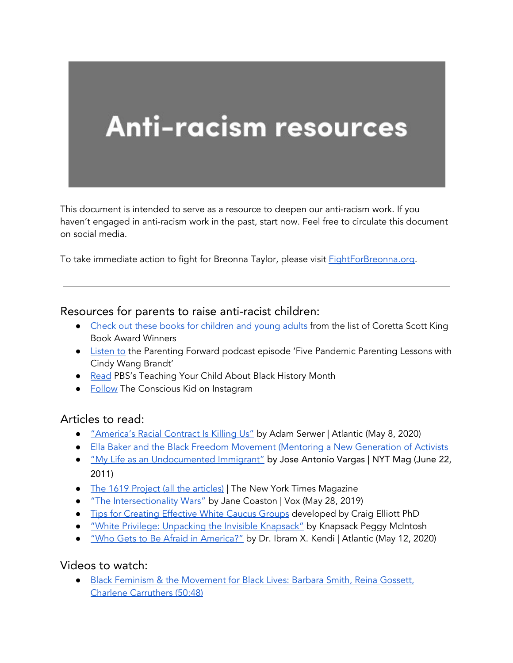# **Anti-racism resources**

This document is intended to serve as a resource to deepen our anti-racism work. If you haven't engaged in anti-racism work in the past, start now. Feel free to circulate this document on social media.

To take immediate action to fight for Breonna Taylor, please visit **[FightForBreonna.org](http://fightforbreonna.org/)**.

#### Resources for parents to raise anti-racist children:

- Check out these books for [children](https://www.commonsensemedia.org/lists/coretta-scott-king-book-award-winners) and young adults from the list of Coretta Scott King Book Award Winners
- **•** [Listen](https://podcasts.apple.com/us/podcast/parenting-forward/id1403686245?i=1000474951309) to the Parenting Forward podcast episode 'Five Pandemic Parenting Lessons with Cindy Wang Brandt'
- [Read](https://www.pbs.org/parents/thrive/teaching-your-child-about-black-history-month) PBS's Teaching Your Child About Black History Month
- [Follow](https://www.instagram.com/theconsciouskid/) The Conscious Kid on Instagram

## Articles to read:

- *["America's](https://www.theatlantic.com/ideas/archive/2020/05/americas-racial-contract-showing/611389/) Racial Contract Is Killing Us"* by Adam Serwer | [Atlantic](https://www.theatlantic.com/ideas/archive/2020/05/americas-racial-contract-showing/611389/) (May 8, 2020)
- **●** Ella Baker and the Black Freedom Movement (Mentoring a New [Generation](https://drive.google.com/a/glaze0101.com/file/d/0By2bSlBi5slDbXB2enJ0RzN6c3M/view?usp=sharing) of Activists
- *"My Life as an [Undocumented](https://www.nytimes.com/2011/06/26/magazine/my-life-as-an-undocumented-immigrant.html) Immigrant"* by Jose [Antonio](https://www.nytimes.com/2011/06/26/magazine/my-life-as-an-undocumented-immigrant.html) Vargas | NYT Mag (June 22, [2011\)](https://www.nytimes.com/2011/06/26/magazine/my-life-as-an-undocumented-immigrant.html)
- The 1619 Project (all the [articles\)](https://www.nytimes.com/interactive/2019/08/14/magazine/1619-america-slavery.html) | The New York Times [Magazine](https://www.nytimes.com/interactive/2019/08/14/magazine/1619-america-slavery.html)
- "The [Intersectionality](https://www.vox.com/the-highlight/2019/5/20/18542843/intersectionality-conservatism-law-race-gender-discrimination) Wars" by Jane [Coaston](https://www.vox.com/the-highlight/2019/5/20/18542843/intersectionality-conservatism-law-race-gender-discrimination) | Vox (May 28, 2019)
- **.** Tips for [Creating](http://convention.myacpa.org/houston2018/wp-content/uploads/2017/11/Guidelines-for-Effective-White-Caucuses.pdf) Effective White Caucus Groups [developed](http://convention.myacpa.org/houston2018/wp-content/uploads/2017/11/Guidelines-for-Effective-White-Caucuses.pdf) by Craig Elliott PhD
- **"White Privilege: Unpacking the Invisible [Knapsack"](http://convention.myacpa.org/houston2018/wp-content/uploads/2017/11/UnpackingTheKnapsack.pdf)** by [Knapsack](http://convention.myacpa.org/houston2018/wp-content/uploads/2017/11/UnpackingTheKnapsack.pdf) Peggy McIntosh
- *"Who Gets to Be Afraid in [America?"](https://www.theatlantic.com/ideas/archive/2020/05/ahmaud-arbery/611539/)* by Dr. Ibram X. Kendi | [Atlantic](https://www.theatlantic.com/ideas/archive/2020/05/ahmaud-arbery/611539/) (May 12, 2020)

#### Videos to watch:

● Black Feminism & the [Movement](https://youtu.be/eV3nnFheQRo) for Black Lives: Barbara Smith, Reina Gossett, Charlene [Carruthers](https://youtu.be/eV3nnFheQRo) (50:48)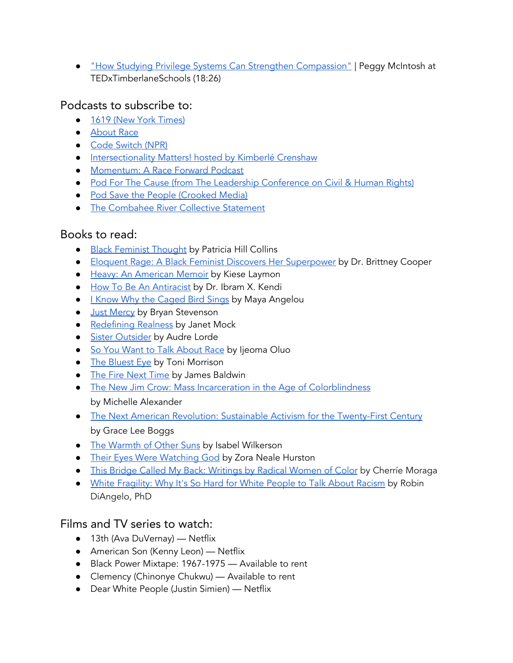● "How Studying Privilege Systems Can Strengthen [Compassion"](https://youtu.be/e-BY9UEewHw) | Peggy McIntosh at TEDxTimberlaneSchools (18:26)

# Podcasts to subscribe to:

- 1619 (New York [Times\)](https://www.nytimes.com/2020/01/23/podcasts/1619-podcast.html)
- **[About](https://www.showaboutrace.com/) Race**
- **●** Code [Switch](https://www.npr.org/sections/codeswitch/) (NPR)
- [Intersectionality](https://podcasts.apple.com/us/podcast/intersectionality-matters/id1441348908) Matters! hosted by Kimberlé Crenshaw
- [Momentum:](https://www.raceforward.org/media/podcast/momentum-race-forward-podcast) A Race Forward Podcast
- Pod For The Cause (from The Leadership [Conference](https://civilrights.org/podforthecause/) on Civil & Human Rights)
- Pod Save the People [\(Crooked](https://crooked.com/podcast-series/pod-save-the-people/) Media)
- The [Combahee](http://circuitous.org/scraps/combahee.html) River Collective Statement

# Books to read:

- Black Feminist [Thought](https://books.google.com/books/about/Black_Feminist_Thought.html?id=cdtYsU3zR14C) by Patricia Hill Collins
- Eloquent Rage: A Black Feminist Discovers Her [Superpower](https://read.macmillan.com/lp/eloquent-rage/) by Dr. Brittney Cooper
- Heavy: An [American](https://www.kieselaymon.com/heavy) Memoir by Kiese Laymon
- How To Be An [Antiracist](https://www.ibramxkendi.com/how-to-be-an-antiracist-1) by Dr. Ibram X. Kendi
- I Know Why the [Caged](https://www.penguinrandomhouse.com/books/3924/i-know-why-the-caged-bird-sings-by-maya-angelou/) Bird Sings by Maya [Angelou](https://chipublib.bibliocommons.com/search?q=%22Angelou%2C+Maya%22&search_category=author&t=author)
- **•** Just [Mercy](https://justmercy.eji.org/) by Bryan Stevenson
- [Redefining](https://www.simonandschuster.com/books/Redefining-Realness/Janet-Mock/9781476709130) Realness by Janet [Mock](https://chipublib.bibliocommons.com/search?q=%22Mock%2C+Janet%22&search_category=author&t=author)
- Sister [Outsider](https://www.penguinrandomhouse.com/books/198292/sister-outsider-by-audre-lorde/) by Audre Lorde
- So You Want to Talk [About](https://www.sealpress.com/titles/ijeoma-oluo/so-you-want-to-talk-about-race/9781580056779/) Race by Ijeoma Oluo
- The [Bluest](https://www.penguinrandomhouse.com/books/117662/the-bluest-eye-by-toni-morrison/) Eye by Toni Morrison
- The Fire Next [Time](https://www.penguinrandomhouse.com/books/7753/the-fire-next-time-by-james-baldwin/9780679744726/teachers-guide/) by James Baldwin
- The New Jim Crow: Mass Incarceration in the Age of [Colorblindness](https://newjimcrow.com/) by Michelle Alexander
- The Next American Revolution: Sustainable Activism for the [Twenty-First](https://www.ucpress.edu/book/9780520272590/the-next-american-revolution) Century by Grace Lee Boggs
- The [Warmth](https://www.penguinrandomhouse.com/books/190696/the-warmth-of-other-suns-by-isabel-wilkerson/) of Other Suns by Isabel Wilkerson
- Their Eyes Were [Watching](https://www.zoranealehurston.com/books/their-eyes-were-watching-god/) God by Zora Neale Hurston
- **This Bridge Called My Back: [Writings](http://v/) by Radical Women of Color by Cherríe Moraga**
- White [Fragility:](https://robindiangelo.com/publications/) Why It's So Hard for White People to Talk About Racism by Robin DiAngelo, PhD

# Films and TV series to watch:

- 13th (Ava DuVernay) Netflix
- American Son (Kenny Leon) Netflix
- Black Power Mixtape: 1967-1975 Available to rent
- Clemency (Chinonye Chukwu) Available to rent
- Dear White People (Justin Simien) Netflix